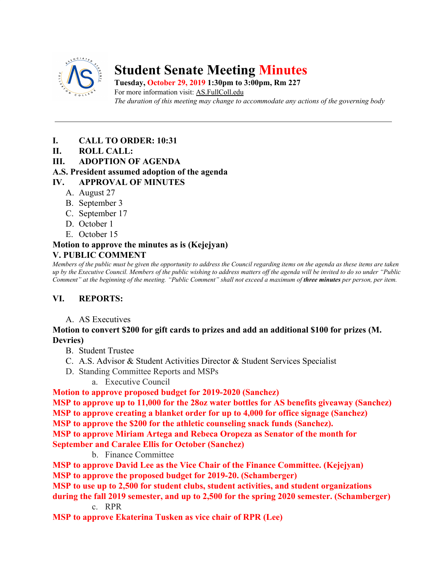

# **Student Senate Meeting Minutes**

**Tuesday, October 29, 2019 1:30pm to 3:00pm, Rm 227** For more information visit: AS.FullColl.edu *The duration of this meeting may change to accommodate any actions of the governing body*

- **I. CALL TO ORDER: 10:31**
- **II. ROLL CALL:**
- **III. ADOPTION OF AGENDA**

## **A.S. President assumed adoption of the agenda**

## **IV. APPROVAL OF MINUTES**

- A. August 27
- B. September 3
- C. September 17
- D. October 1
- E. October 15

#### **Motion to approve the minutes as is (Kejejyan) V. PUBLIC COMMENT**

*Members of the public must be given the opportunity to address the Council regarding items on the agenda as these items are taken up by the Executive Council. Members of the public wishing to address matters off the agenda will be invited to do so under "Public Comment" at the beginning of the meeting. "Public Comment" shall not exceed a maximum of three minutes per person, per item.*

## **VI. REPORTS:**

A. AS Executives

### **Motion to convert \$200 for gift cards to prizes and add an additional \$100 for prizes (M. Devries)**

- B. Student Trustee
- C. A.S. Advisor & Student Activities Director & Student Services Specialist
- D. Standing Committee Reports and MSPs
	- a. Executive Council

## **Motion to approve proposed budget for 2019-2020 (Sanchez)**

**MSP to approve up to 11,000 for the 28oz water bottles for AS benefits giveaway (Sanchez) MSP to approve creating a blanket order for up to 4,000 for office signage (Sanchez) MSP to approve the \$200 for the athletic counseling snack funds (Sanchez).**

**MSP to approve Miriam Artega and Rebeca Oropeza as Senator of the month for**

**September and Caralee Ellis for October (Sanchez)**

b. Finance Committee

**MSP to approve David Lee as the Vice Chair of the Finance Committee. (Kejejyan) MSP to approve the proposed budget for 2019-20. (Schamberger)**

**MSP to use up to 2,500 for student clubs, student activities, and student organizations**

**during the fall 2019 semester, and up to 2,500 for the spring 2020 semester. (Schamberger)** c. RPR

**MSP to approve Ekaterina Tusken as vice chair of RPR (Lee)**